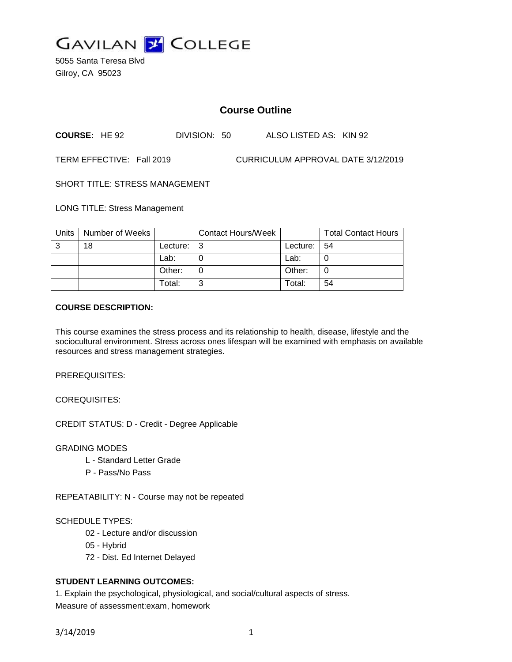

5055 Santa Teresa Blvd Gilroy, CA 95023

# **Course Outline**

**COURSE:** HE 92 DIVISION: 50 ALSO LISTED AS: KIN 92

TERM EFFECTIVE: Fall 2019 CURRICULUM APPROVAL DATE 3/12/2019

SHORT TITLE: STRESS MANAGEMENT

LONG TITLE: Stress Management

| Units | Number of Weeks |            | Contact Hours/Week |             | <b>Total Contact Hours</b> |
|-------|-----------------|------------|--------------------|-------------|----------------------------|
| 3     | 18              | Lecture: I | - 3                | Lecture: 54 |                            |
|       |                 | Lab:       |                    | Lab:        |                            |
|       |                 | Other:     |                    | Other:      | 0                          |
|       |                 | Total:     | ◠                  | Total:      | 54                         |

### **COURSE DESCRIPTION:**

This course examines the stress process and its relationship to health, disease, lifestyle and the sociocultural environment. Stress across ones lifespan will be examined with emphasis on available resources and stress management strategies.

PREREQUISITES:

COREQUISITES:

CREDIT STATUS: D - Credit - Degree Applicable

#### GRADING MODES

- L Standard Letter Grade
- P Pass/No Pass

REPEATABILITY: N - Course may not be repeated

#### SCHEDULE TYPES:

- 02 Lecture and/or discussion
- 05 Hybrid
- 72 Dist. Ed Internet Delayed

# **STUDENT LEARNING OUTCOMES:**

1. Explain the psychological, physiological, and social/cultural aspects of stress. Measure of assessment:exam, homework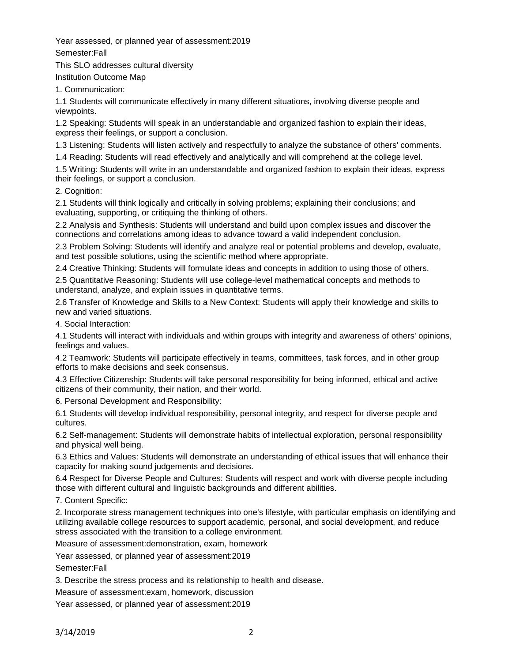Year assessed, or planned year of assessment:2019

Semester:Fall

This SLO addresses cultural diversity

Institution Outcome Map

1. Communication:

1.1 Students will communicate effectively in many different situations, involving diverse people and viewpoints.

1.2 Speaking: Students will speak in an understandable and organized fashion to explain their ideas, express their feelings, or support a conclusion.

1.3 Listening: Students will listen actively and respectfully to analyze the substance of others' comments.

1.4 Reading: Students will read effectively and analytically and will comprehend at the college level.

1.5 Writing: Students will write in an understandable and organized fashion to explain their ideas, express their feelings, or support a conclusion.

2. Cognition:

2.1 Students will think logically and critically in solving problems; explaining their conclusions; and evaluating, supporting, or critiquing the thinking of others.

2.2 Analysis and Synthesis: Students will understand and build upon complex issues and discover the connections and correlations among ideas to advance toward a valid independent conclusion.

2.3 Problem Solving: Students will identify and analyze real or potential problems and develop, evaluate, and test possible solutions, using the scientific method where appropriate.

2.4 Creative Thinking: Students will formulate ideas and concepts in addition to using those of others.

2.5 Quantitative Reasoning: Students will use college-level mathematical concepts and methods to understand, analyze, and explain issues in quantitative terms.

2.6 Transfer of Knowledge and Skills to a New Context: Students will apply their knowledge and skills to new and varied situations.

4. Social Interaction:

4.1 Students will interact with individuals and within groups with integrity and awareness of others' opinions, feelings and values.

4.2 Teamwork: Students will participate effectively in teams, committees, task forces, and in other group efforts to make decisions and seek consensus.

4.3 Effective Citizenship: Students will take personal responsibility for being informed, ethical and active citizens of their community, their nation, and their world.

6. Personal Development and Responsibility:

6.1 Students will develop individual responsibility, personal integrity, and respect for diverse people and cultures.

6.2 Self-management: Students will demonstrate habits of intellectual exploration, personal responsibility and physical well being.

6.3 Ethics and Values: Students will demonstrate an understanding of ethical issues that will enhance their capacity for making sound judgements and decisions.

6.4 Respect for Diverse People and Cultures: Students will respect and work with diverse people including those with different cultural and linguistic backgrounds and different abilities.

7. Content Specific:

2. Incorporate stress management techniques into one's lifestyle, with particular emphasis on identifying and utilizing available college resources to support academic, personal, and social development, and reduce stress associated with the transition to a college environment.

Measure of assessment:demonstration, exam, homework

Year assessed, or planned year of assessment:2019

Semester:Fall

3. Describe the stress process and its relationship to health and disease.

Measure of assessment:exam, homework, discussion

Year assessed, or planned year of assessment:2019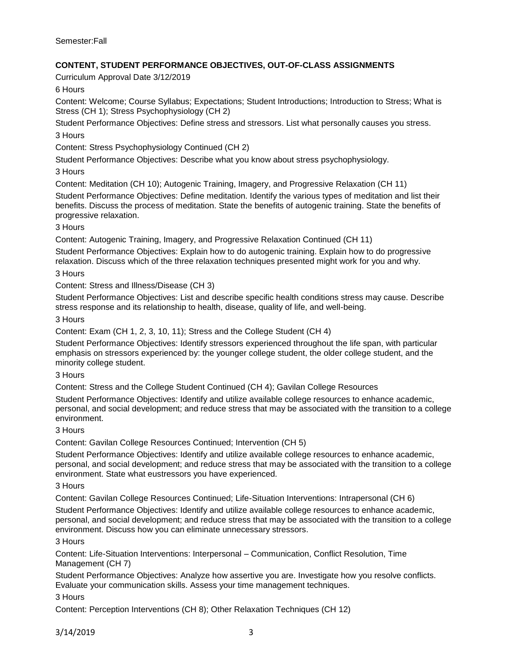Semester:Fall

# **CONTENT, STUDENT PERFORMANCE OBJECTIVES, OUT-OF-CLASS ASSIGNMENTS**

Curriculum Approval Date 3/12/2019

6 Hours

Content: Welcome; Course Syllabus; Expectations; Student Introductions; Introduction to Stress; What is Stress (CH 1); Stress Psychophysiology (CH 2)

Student Performance Objectives: Define stress and stressors. List what personally causes you stress. 3 Hours

Content: Stress Psychophysiology Continued (CH 2)

Student Performance Objectives: Describe what you know about stress psychophysiology.

3 Hours

Content: Meditation (CH 10); Autogenic Training, Imagery, and Progressive Relaxation (CH 11)

Student Performance Objectives: Define meditation. Identify the various types of meditation and list their benefits. Discuss the process of meditation. State the benefits of autogenic training. State the benefits of progressive relaxation.

3 Hours

Content: Autogenic Training, Imagery, and Progressive Relaxation Continued (CH 11)

Student Performance Objectives: Explain how to do autogenic training. Explain how to do progressive relaxation. Discuss which of the three relaxation techniques presented might work for you and why.

3 Hours

Content: Stress and Illness/Disease (CH 3)

Student Performance Objectives: List and describe specific health conditions stress may cause. Describe stress response and its relationship to health, disease, quality of life, and well-being.

3 Hours

Content: Exam (CH 1, 2, 3, 10, 11); Stress and the College Student (CH 4)

Student Performance Objectives: Identify stressors experienced throughout the life span, with particular emphasis on stressors experienced by: the younger college student, the older college student, and the minority college student.

# 3 Hours

Content: Stress and the College Student Continued (CH 4); Gavilan College Resources

Student Performance Objectives: Identify and utilize available college resources to enhance academic, personal, and social development; and reduce stress that may be associated with the transition to a college environment.

#### 3 Hours

Content: Gavilan College Resources Continued; Intervention (CH 5)

Student Performance Objectives: Identify and utilize available college resources to enhance academic, personal, and social development; and reduce stress that may be associated with the transition to a college environment. State what eustressors you have experienced.

3 Hours

Content: Gavilan College Resources Continued; Life-Situation Interventions: Intrapersonal (CH 6)

Student Performance Objectives: Identify and utilize available college resources to enhance academic, personal, and social development; and reduce stress that may be associated with the transition to a college environment. Discuss how you can eliminate unnecessary stressors.

#### 3 Hours

Content: Life-Situation Interventions: Interpersonal – Communication, Conflict Resolution, Time Management (CH 7)

Student Performance Objectives: Analyze how assertive you are. Investigate how you resolve conflicts. Evaluate your communication skills. Assess your time management techniques.

3 Hours

Content: Perception Interventions (CH 8); Other Relaxation Techniques (CH 12)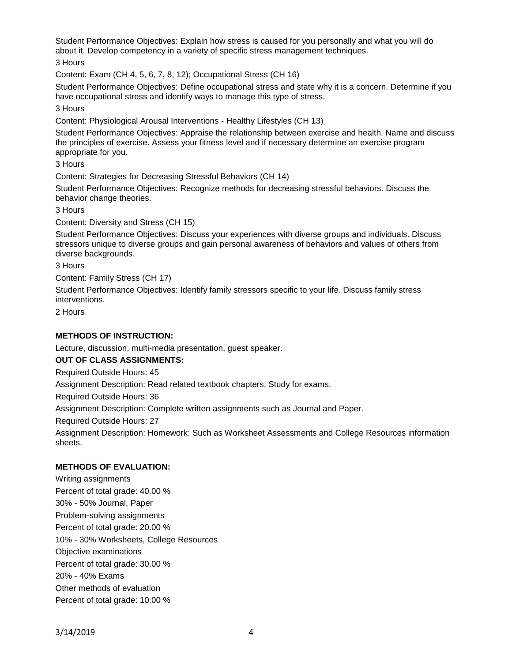Student Performance Objectives: Explain how stress is caused for you personally and what you will do about it. Develop competency in a variety of specific stress management techniques.

3 Hours

Content: Exam (CH 4, 5, 6, 7, 8, 12); Occupational Stress (CH 16)

Student Performance Objectives: Define occupational stress and state why it is a concern. Determine if you have occupational stress and identify ways to manage this type of stress.

3 Hours

Content: Physiological Arousal Interventions - Healthy Lifestyles (CH 13)

Student Performance Objectives: Appraise the relationship between exercise and health. Name and discuss the principles of exercise. Assess your fitness level and if necessary determine an exercise program appropriate for you.

3 Hours

Content: Strategies for Decreasing Stressful Behaviors (CH 14)

Student Performance Objectives: Recognize methods for decreasing stressful behaviors. Discuss the behavior change theories.

3 Hours

Content: Diversity and Stress (CH 15)

Student Performance Objectives: Discuss your experiences with diverse groups and individuals. Discuss stressors unique to diverse groups and gain personal awareness of behaviors and values of others from diverse backgrounds.

3 Hours

Content: Family Stress (CH 17)

Student Performance Objectives: Identify family stressors specific to your life. Discuss family stress interventions.

2 Hours

# **METHODS OF INSTRUCTION:**

Lecture, discussion, multi-media presentation, guest speaker.

# **OUT OF CLASS ASSIGNMENTS:**

Required Outside Hours: 45

Assignment Description: Read related textbook chapters. Study for exams.

Required Outside Hours: 36

Assignment Description: Complete written assignments such as Journal and Paper.

Required Outside Hours: 27

Assignment Description: Homework: Such as Worksheet Assessments and College Resources information sheets.

# **METHODS OF EVALUATION:**

Writing assignments Percent of total grade: 40.00 % 30% - 50% Journal, Paper Problem-solving assignments Percent of total grade: 20.00 % 10% - 30% Worksheets, College Resources Objective examinations Percent of total grade: 30.00 % 20% - 40% Exams Other methods of evaluation Percent of total grade: 10.00 %